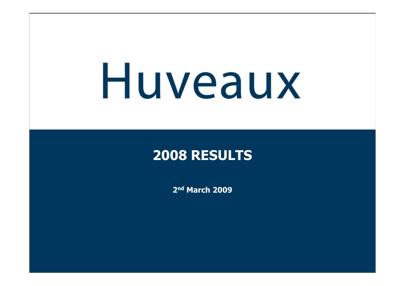# Huveaux

#### **2008 RESULTS**

**2nd March 2009**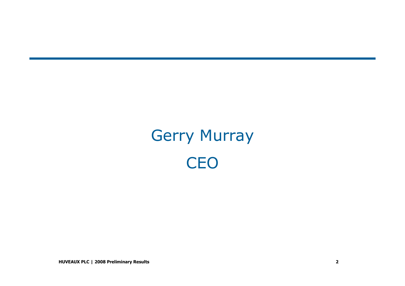# Gerry Murray**CEO**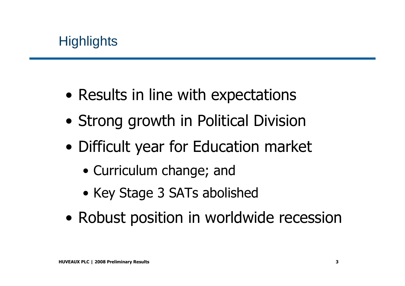- •Results in line with expectations
- •Strong growth in Political Division
- • Difficult year for Education market
	- Curriculum change; and
	- Key Stage 3 SATs abolished
- •Robust position in worldwide recession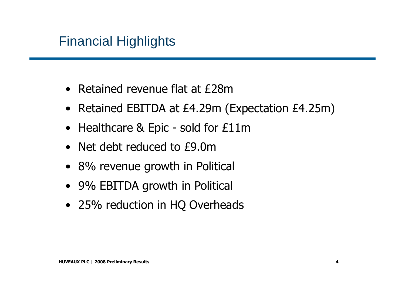#### Financial Highlights

- Retained revenue flat at £28m
- Retained EBITDA at £4.29m (Expectation £4.25m)
- Healthcare & Epic sold for £11m
- Net debt reduced to £9.0m
- 8% revenue growth in Political
- 9% EBITDA growth in Political
- 25% reduction in HQ Overheads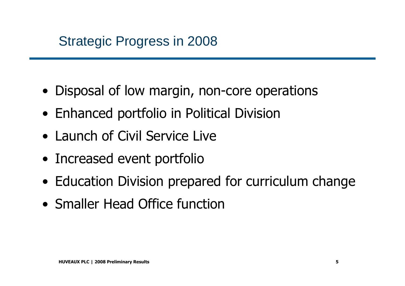#### Strategic Progress in 2008

- Disposal of low margin, non-core operations
- Enhanced portfolio in Political Division
- Launch of Civil Service Live
- Increased event portfolio
- Education Division prepared for curriculum change
- Smaller Head Office function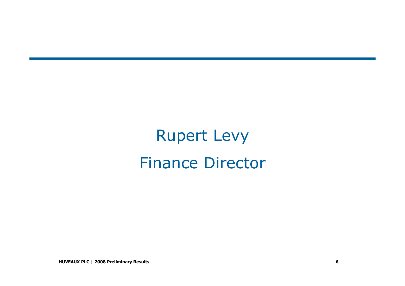Rupert LevyFinance Director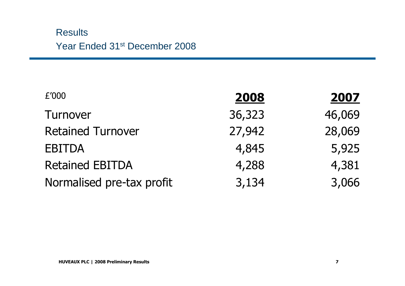#### **Results** Year Ended 31st December 2008

| £'000                     | 2008   | <u>2007</u> |
|---------------------------|--------|-------------|
| Turnover                  | 36,323 | 46,069      |
| <b>Retained Turnover</b>  | 27,942 | 28,069      |
| <b>EBITDA</b>             | 4,845  | 5,925       |
| <b>Retained EBITDA</b>    | 4,288  | 4,381       |
| Normalised pre-tax profit | 3,134  | 3,066       |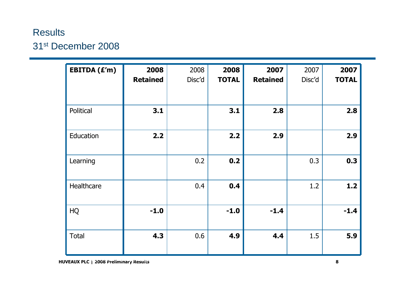#### **Results** 31<sup>st</sup> December 2008

| EBITDA (£'m) | 2008<br><b>Retained</b> | 2008<br>Disc'd | 2008<br><b>TOTAL</b> | 2007<br><b>Retained</b> | 2007<br>Disc'd | 2007<br><b>TOTAL</b> |
|--------------|-------------------------|----------------|----------------------|-------------------------|----------------|----------------------|
| Political    | 3.1                     |                | 3.1                  | 2.8                     |                | 2.8                  |
| Education    | 2.2                     |                | 2.2                  | 2.9                     |                | 2.9                  |
| Learning     |                         | 0.2            | 0.2                  |                         | 0.3            | 0.3                  |
| Healthcare   |                         | 0.4            | 0.4                  |                         | 1.2            | $1.2$                |
| HQ           | $-1.0$                  |                | $-1.0$               | $-1.4$                  |                | $-1.4$               |
| <b>Total</b> | 4.3                     | 0.6            | 4.9                  | 4.4                     | 1.5            | 5.9                  |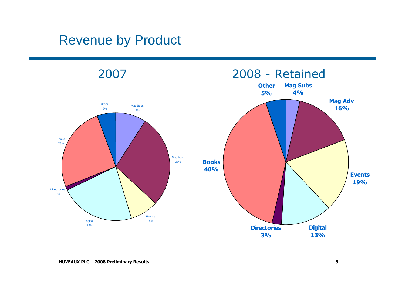#### Revenue by Product

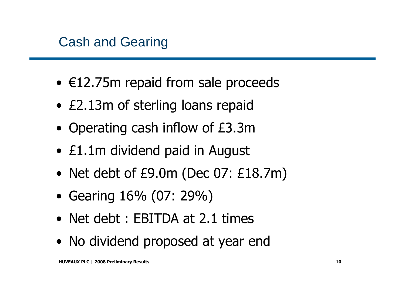- €12.75m repaid from sale proceeds
- £2.13m of sterling loans repaid
- Operating cash inflow of £3.3m
- £1.1m dividend paid in August
- Net debt of £9.0m (Dec 07: £18.7m)
- Gearing 16% (07: 29%)
- Net debt : EBITDA at 2.1 times
- No dividend proposed at year end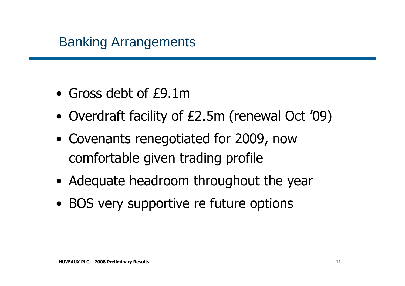#### Banking Arrangements

- Gross debt of £9.1m
- Overdraft facility of £2.5m (renewal Oct '09)
- Covenants renegotiated for 2009, now comfortable given trading profile
- Adequate headroom throughout the year
- BOS very supportive re future options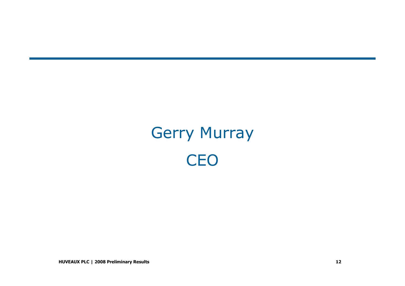# Gerry Murray**CEO**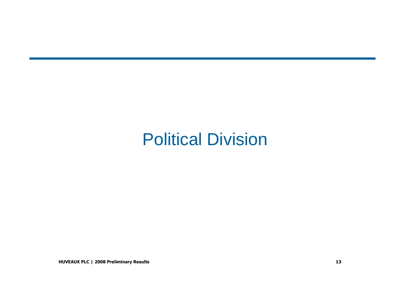# Political Division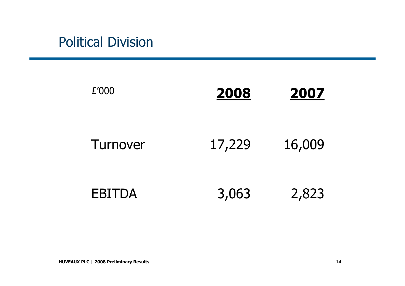#### Political Division

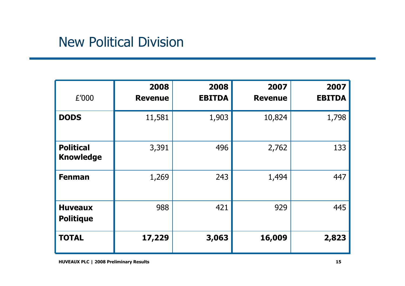#### New Political Division

| £'000                                | 2008<br><b>Revenue</b> | 2008<br><b>EBITDA</b> | 2007<br><b>Revenue</b> | 2007<br><b>EBITDA</b> |
|--------------------------------------|------------------------|-----------------------|------------------------|-----------------------|
| <b>DODS</b>                          | 11,581                 | 1,903                 | 10,824                 | 1,798                 |
| <b>Political</b><br><b>Knowledge</b> | 3,391                  | 496                   | 2,762                  | 133                   |
| <b>Fenman</b>                        | 1,269                  | 243                   | 1,494                  | 447                   |
| <b>Huveaux</b><br><b>Politique</b>   | 988                    | 421                   | 929                    | 445                   |
| <b>TOTAL</b>                         | 17,229                 | 3,063                 | 16,009                 | 2,823                 |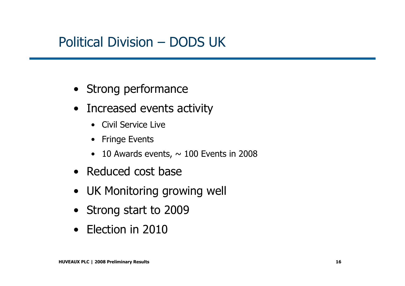#### Political Division – DODS UK

- Strong performance
- Increased events activity
	- Civil Service Live
	- Fringe Events
	- 10 Awards events,  $\sim$  100 Events in 2008
- Reduced cost base
- UK Monitoring growing well
- Strong start to 2009
- Election in 2010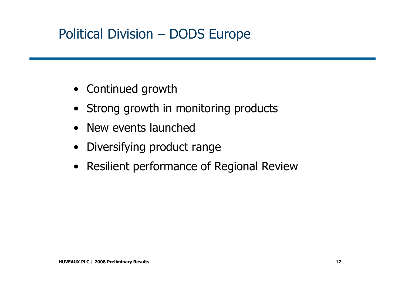## Political Division – DODS Europe

- Continued growth
- Strong growth in monitoring products
- New events launched
- Diversifying product range
- Resilient performance of Regional Review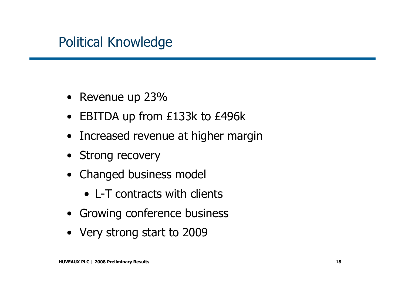#### Political Knowledge

- Revenue up 23%
- EBITDA up from £133k to £496k
- Increased revenue at higher margin
- Strong recovery
- Changed business model
	- L-T contracts with clients
- Growing conference business
- Very strong start to 2009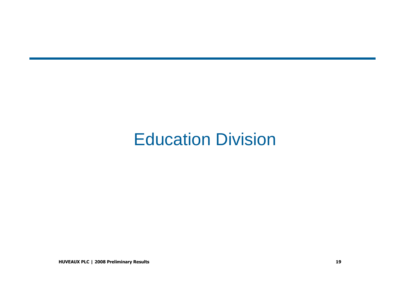## Education Division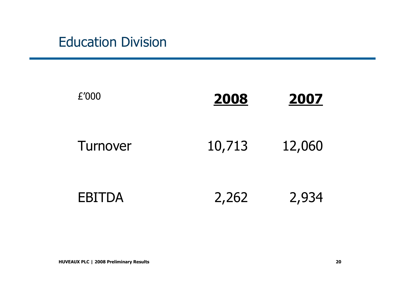#### Education Division

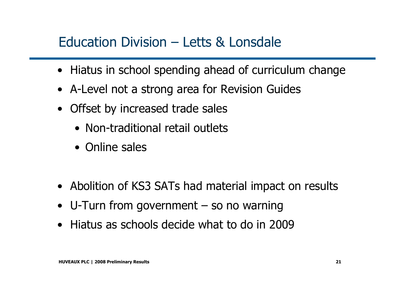#### Education Division – Letts & Lonsdale

- Hiatus in school spending ahead of curriculum change
- A-Level not a strong area for Revision Guides
- Offset by increased trade sales
	- Non-traditional retail outlets
	- Online sales
- Abolition of KS3 SATs had material impact on results
- U-Turn from government so no warning
- Hiatus as schools decide what to do in 2009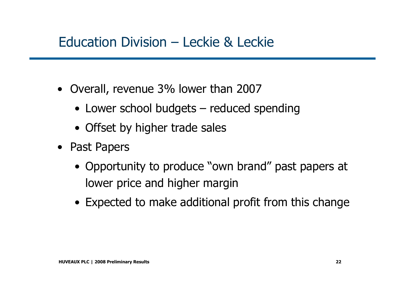#### Education Division – Leckie & Leckie

- Overall, revenue 3% lower than 2007
	- Lower school budgets reduced spending
	- Offset by higher trade sales
- Past Papers
	- Opportunity to produce "own brand" past papers at lower price and higher margin
	- Expected to make additional profit from this change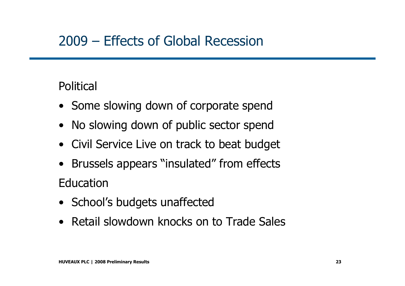#### 2009 – Effects of Global Recession

#### **Political**

- Some slowing down of corporate spend<br>
- No slowing down of public sector spend
- Civil Service Live on track to beat budget
- Brussels appears "insulated" from effects **Education**
- School's budgets unaffected
- Retail slowdown knocks on to Trade Sales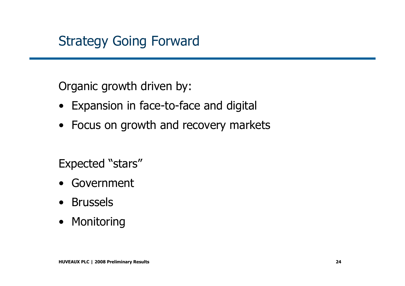### Strategy Going Forward

Organic growth driven by:

- Expansion in face-to-face and digital
- Focus on growth and recovery markets

Expected "stars"

- Government
- Brussels
- Monitoring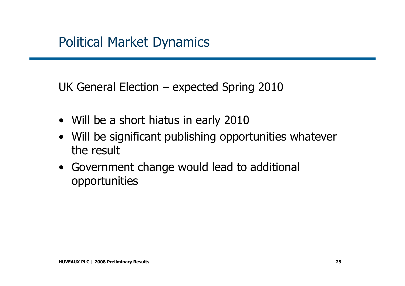UK General Election – expected Spring 2010

- Will be a short hiatus in early 2010<br>• Will be significant publishing annox
- Will be significant publishing opportunities whatever<br>the result the result
- Government change would lead to additional<br>Connortunities opportunities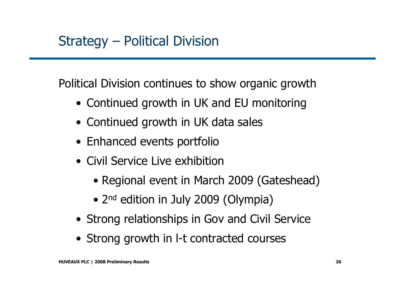Political Division continues to show organic growth

- Continued growth in UK and EU monitoring
- Continued growth in UK data sales
- Enhanced events portfolio
- Civil Service Live exhibition
	- Regional event in March 2009 (Gateshead)
	- 2<sup>nd</sup> edition in July 2009 (Olympia)
- Strong relationships in Gov and Civil Service
- Strong growth in l-t contracted courses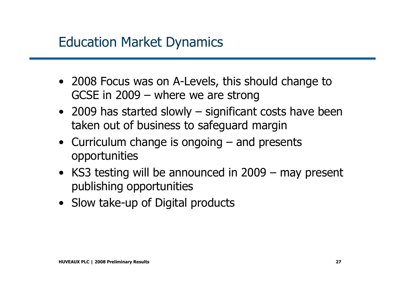#### Education Market Dynamics

- 2008 Focus was on A-Levels, this should change to<br>GCSE in 2009 where we are strong GCSE in 2009 – where we are strong
- 2009 has started slowly significant costs have been<br>taken out of business to safequard margin taken out of business to safeguard margin
- Curriculum change is ongoing and presents<br>connortunities opportunities
- KS3 testing will be announced in 2009 may present publishing opportunities
- Slow take-up of Digital products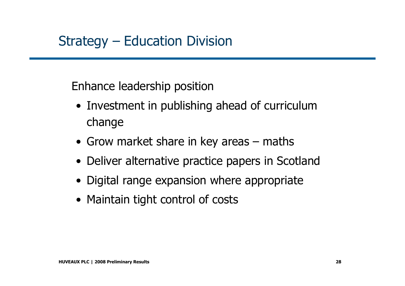#### Strategy – Education Division

Enhance leadership position

- Investment in publishing ahead of curriculum change
- Grow market share in key areas maths
- Deliver alternative practice papers in Scotland
- Digital range expansion where appropriate
- Maintain tight control of costs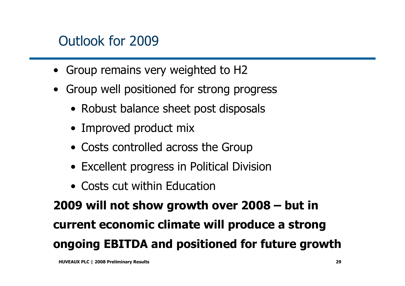### Outlook for 2009

- •Group remains very weighted to H2
- • Group well positioned for strong progress
	- Robust balance sheet post disposals
	- Improved product mix
	- Costs controlled across the Group
	- Excellent progress in Political Division
	- Costs cut within Education

**2009 will not show growth over 2008 – but in current economic climate will produce a strongongoing EBITDA and positioned for future growth**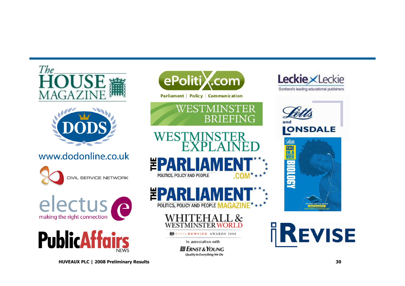



#### www.dodonline.co.uk







ePolitiX.com

Parliament | Policy | Communication









VILSERVICE AWARDS 2008

In association with

**JI ERNST & YOUNG** Quality In Everything We Do









**HUVEAUX PLC | 2008 Preliminary Results**